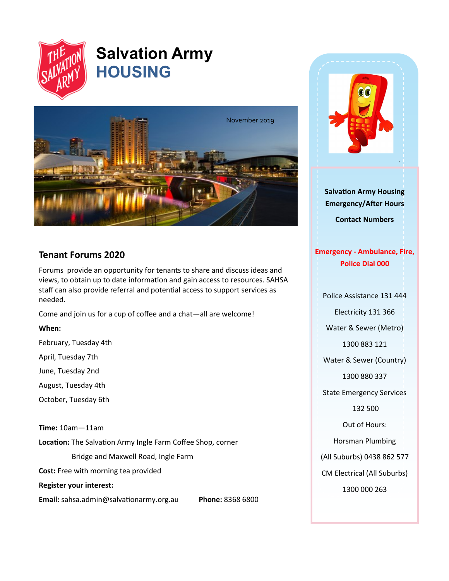

# **Salvation Army HOUSING**



# **Tenant Forums 2020**

Forums provide an opportunity for tenants to share and discuss ideas and views, to obtain up to date information and gain access to resources. SAHSA staff can also provide referral and potential access to support services as needed.

Come and join us for a cup of coffee and a chat—all are welcome!

### **When:**

February, Tuesday 4th

April, Tuesday 7th

June, Tuesday 2nd

August, Tuesday 4th

October, Tuesday 6th

**Time:** 10am—11am

**Location:** The Salvation Army Ingle Farm Coffee Shop, corner

Bridge and Maxwell Road, Ingle Farm

**Cost:** Free with morning tea provided

**Register your interest:**

**Email:** sahsa.admin@salvationarmy.org.au **Phone:** 8368 6800



**Salvation Army Housing Emergency/After Hours** 

**Contact Numbers**

## **Emergency - Ambulance, Fire, Police Dial 000**

Police Assistance 131 444

Electricity 131 366

Water & Sewer (Metro)

1300 883 121

Water & Sewer (Country)

1300 880 337

State Emergency Services

132 500

Out of Hours:

Horsman Plumbing

(All Suburbs) 0438 862 577

CM Electrical (All Suburbs)

1300 000 263